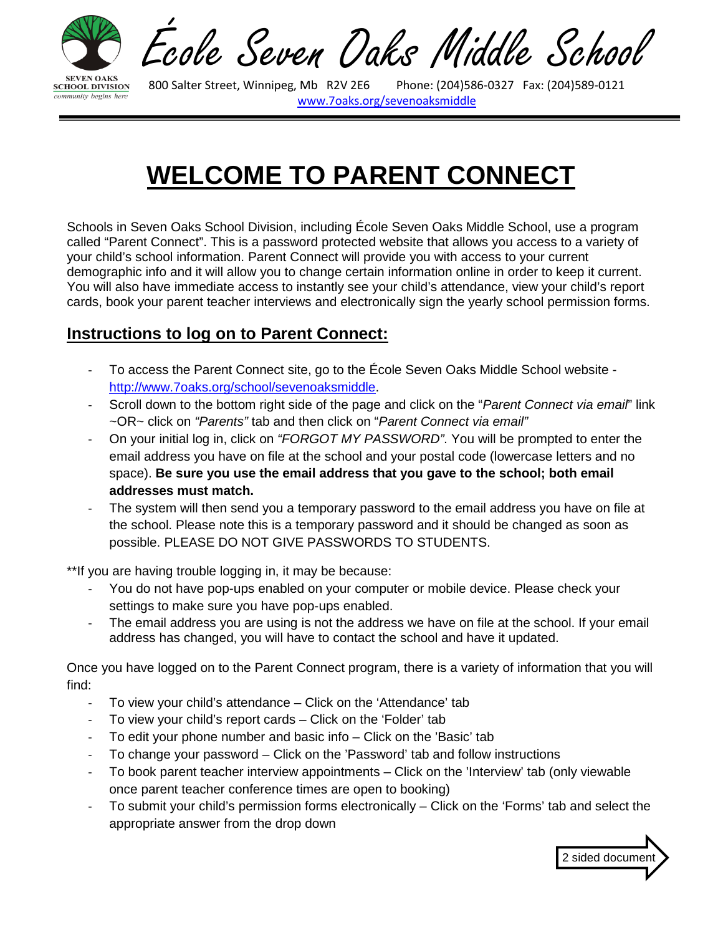

Ecole Seven Daks Middle School

Phone: (204)586-0327 Fax: (204)589-0121 [www.7oaks.org/](http://www.7oaks.org/)sevenoaksmiddle

# **WELCOME TO PARENT CONNECT**

Schools in Seven Oaks School Division, including École Seven Oaks Middle School, use a program called "Parent Connect". This is a password protected website that allows you access to a variety of your child's school information. Parent Connect will provide you with access to your current demographic info and it will allow you to change certain information online in order to keep it current. You will also have immediate access to instantly see your child's attendance, view your child's report cards, book your parent teacher interviews and electronically sign the yearly school permission forms.

#### **Instructions to log on to Parent Connect:**

- To access the Parent Connect site, go to the École Seven Oaks Middle School website [http://www.7oaks.org/school/sevenoaksmiddle.](http://www.7oaks.org/school/sevenoaksmiddle)
- Scroll down to the bottom right side of the page and click on the "*Parent Connect via email*" link ~OR~ click on *"Parents"* tab and then click on "*Parent Connect via email"*
- On your initial log in, click on *"FORGOT MY PASSWORD"*. You will be prompted to enter the email address you have on file at the school and your postal code (lowercase letters and no space). **Be sure you use the email address that you gave to the school; both email addresses must match.**
- The system will then send you a temporary password to the email address you have on file at the school. Please note this is a temporary password and it should be changed as soon as possible. PLEASE DO NOT GIVE PASSWORDS TO STUDENTS.

\*\*If you are having trouble logging in, it may be because:

- You do not have pop-ups enabled on your computer or mobile device. Please check your settings to make sure you have pop-ups enabled.
- The email address you are using is not the address we have on file at the school. If your email address has changed, you will have to contact the school and have it updated.

Once you have logged on to the Parent Connect program, there is a variety of information that you will find:

- To view your child's attendance Click on the 'Attendance' tab
- To view your child's report cards Click on the 'Folder' tab
- To edit your phone number and basic info Click on the 'Basic' tab
- To change your password Click on the 'Password' tab and follow instructions
- To book parent teacher interview appointments Click on the 'Interview' tab (only viewable once parent teacher conference times are open to booking)
- To submit your child's permission forms electronically Click on the 'Forms' tab and select the appropriate answer from the drop down